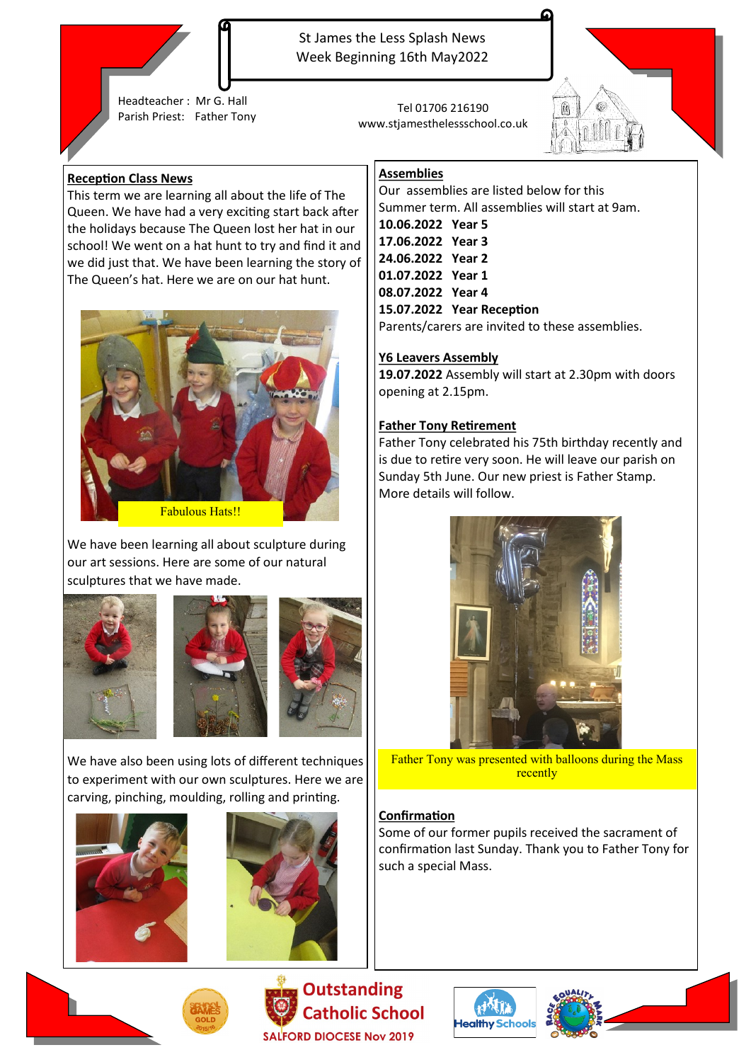

St James the Less Splash News Week Beginning 16th May2022

Headteacher : Mr G. Hall Parish Priest: Father Tony Tel 01706 216190

www.stjamesthelessschool.co.uk



### **Reception Class News**

This term we are learning all about the life of The Queen. We have had a very exciting start back after the holidays because The Queen lost her hat in our school! We went on a hat hunt to try and find it and we did just that. We have been learning the story of The Queen's hat. Here we are on our hat hunt.



We have been learning all about sculpture during our art sessions. Here are some of our natural sculptures that we have made.











**Outstanding Catholic School SALFORD DIOCESE Nov 2019** 

## **Assemblies**

Our assemblies are listed below for this Summer term. All assemblies will start at 9am. **10.06.2022 Year 5 17.06.2022 Year 3 24.06.2022 Year 2 01.07.2022 Year 1 08.07.2022 Year 4 15.07.2022 Year Reception** Parents/carers are invited to these assemblies.

#### **Y6 Leavers Assembly**

**19.07.2022** Assembly will start at 2.30pm with doors opening at 2.15pm.

#### **Father Tony Retirement**

Father Tony celebrated his 75th birthday recently and is due to retire very soon. He will leave our parish on Sunday 5th June. Our new priest is Father Stamp. More details will follow.



Father Tony was presented with balloons during the Mass recently

## **Confirmation**

Some of our former pupils received the sacrament of confirmation last Sunday. Thank you to Father Tony for such a special Mass.